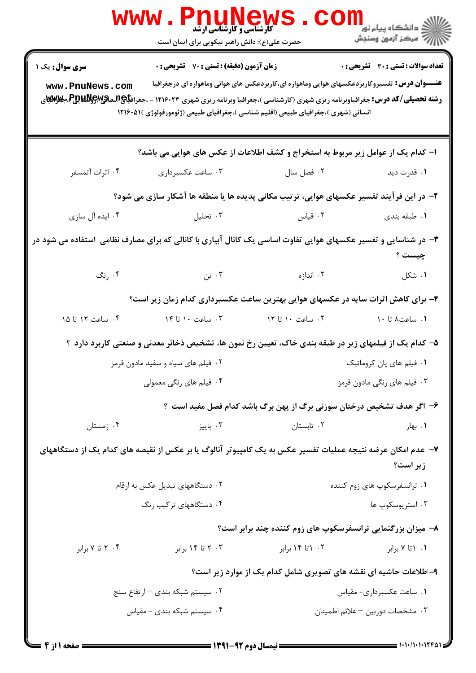|                                                                                                                 | WWW.PI<br><b>VE ALLY CAN</b><br>کارشناسی و کارشناسی ارشد<br>حضرت علی(ع): دانش راهبر نیکویی برای ایمان است                                                                                                                                                                           |                                                                                                     | الان دانشگاه پيام نور دارد.<br>۱۳۸۷ مرکز آزمون وسنجش |
|-----------------------------------------------------------------------------------------------------------------|-------------------------------------------------------------------------------------------------------------------------------------------------------------------------------------------------------------------------------------------------------------------------------------|-----------------------------------------------------------------------------------------------------|------------------------------------------------------|
| سری سوال: یک ۱<br>www.PnuNews.com                                                                               | زمان آزمون (دقیقه) : تستی : 70 گشریحی : 0<br><b>رشته تحصیلی/کد درس:</b> جغرافیاوبرنامه ریزی شهری (کارشناسی )،جغرافیا وبرنامه ریزی شهری ۱۲۱۶۰۲۳ - ،جغراف <del>یا@M</del> میگیچ&مگو@Wیچ&مگلای<br>انسانی (شهری )،جغرافیای طبیعی (اقلیم شناسی )،جغرافیای طبیعی (ژئومورفولوژی )۱۲۱۶۰۵۱ ( | <b>عنـــوان درس:</b> تفسیروکاربردعکسهای هوایی وماهواره ای،کاربردعکس های هوائی وماهواره ای درجغرافیا | <b>تعداد سوالات : تستي : 30 ٪ تشريحي : 0</b>         |
|                                                                                                                 | ا- کدام یک از عوامل زیر مربوط به استخراج و کشف اطلاعات از عکس های هوایی می باشد؟                                                                                                                                                                                                    |                                                                                                     |                                                      |
| ۰۴ اثرات آتمسفر                                                                                                 | ۰۳ ساعت عکسبرداری                                                                                                                                                                                                                                                                   | ۰۲ فصل سال                                                                                          | ۰۱ قدرت دید                                          |
|                                                                                                                 | ۲– در این فرآیند تفسیر عکسهای هوایی، ترتیب مکانی پدیده ها یا منطقه ها آشکار سازی می شود؟                                                                                                                                                                                            |                                                                                                     |                                                      |
| ۰۴ ایده آل سازی                                                                                                 | ۰۳ تحلیل                                                                                                                                                                                                                                                                            | ۰۲ قیاس می است است و تاریخ است و تاریخ است و تاریخ است که است که است که است که است که است که است که | ۰۱ طبقه بندی                                         |
| ۳- در شناسایی و تفسیر عکسهای هوایی تفاوت اساسی یک کانال آبیاری با کانالی که برای مصارف نظامی  استفاده می شود در |                                                                                                                                                                                                                                                                                     |                                                                                                     | چيست ؟                                               |
|                                                                                                                 | ۲. اندازه است است که باشت که این کسی و تلک                                                                                                                                                                                                                                          |                                                                                                     | ۰۱ شکل                                               |
|                                                                                                                 | ۴- برای کاهش اثرات سایه در عکسهای هوایی بهترین ساعت عکسبرداری کدام زمان زیر است؟                                                                                                                                                                                                    |                                                                                                     |                                                      |
| ۰۴ ساعت ۱۲ تا ۱۵                                                                                                |                                                                                                                                                                                                                                                                                     |                                                                                                     | ۰۱ ساعت۸ تا ۱۰                                       |
|                                                                                                                 | ۵– کدام یک از فیلمهای زیر در طبقه بندی خاک، تعیین رخ نمون ها، تشخیص ذخائر معدنی و صنعتی کاربرد دارد ؟                                                                                                                                                                               |                                                                                                     |                                                      |
|                                                                                                                 | ۰۲ فیلم های سیاه و سفید مادون قرمز<br>۰۱ فیلم های پان کروماتیک                                                                                                                                                                                                                      |                                                                                                     |                                                      |
|                                                                                                                 | ۰۴ فیلم های رنگی معمولی                                                                                                                                                                                                                                                             | ۰۳ فیلم های رنگی مادون قرمز                                                                         |                                                      |
|                                                                                                                 |                                                                                                                                                                                                                                                                                     | ۶- اگر هدف تشخیص درختان سوزنی برگ از پهن برگ باشد کدام فصل مفید است ؟                               |                                                      |
| ۰۴ زمستان                                                                                                       | ۰۳ پاییز                                                                                                                                                                                                                                                                            | ۰۲ تابستان                                                                                          | ۰۱ بهار                                              |
|                                                                                                                 | ۷–  عدم امکان عرضه نتیجه عملیات تفسیر عکس به یک کامپیوتر آنالوگ یا بر عکس از نقیصه های کدام یک از دستگاههای                                                                                                                                                                         |                                                                                                     | زير است؟                                             |
| ۰۲ دستگاههای تبدیل عکس به ارقام                                                                                 |                                                                                                                                                                                                                                                                                     |                                                                                                     | ۰۱ ترانسفرسکوپ های زوم کننده                         |
|                                                                                                                 | ۰۴ دستگاههای ترکیب رنگ                                                                                                                                                                                                                                                              |                                                                                                     | ۰۳ استريوسكوپ ها                                     |
|                                                                                                                 |                                                                                                                                                                                                                                                                                     | ۸– میزان بزرگنمایی ترانسفرسکوپ های زوم کننده چند برابر است؟                                         |                                                      |
| ۰۴ تا ۷ برابر                                                                                                   | ۰۳ تا ۱۴ برابر                                                                                                                                                                                                                                                                      | ۰۲ ۱تا ۱۴ برابر                                                                                     | ۰۱ ۱ تا ۷ برابر                                      |
|                                                                                                                 |                                                                                                                                                                                                                                                                                     | ۹-اطلاعات حاشیه ای نقشه های تصویری شامل کدام یک از موارد زیر است؟                                   |                                                      |
|                                                                                                                 | ۰۲ سیستم شبکه بندی – ارتفاع سنج                                                                                                                                                                                                                                                     |                                                                                                     | ۰۱ ساعت عکسبرداری- مقیاس                             |
|                                                                                                                 | ۰۴ سیستم شبکه بندی - مقیاس                                                                                                                                                                                                                                                          |                                                                                                     | ٠٣ مشخصات دوربين – علائم اطمينان                     |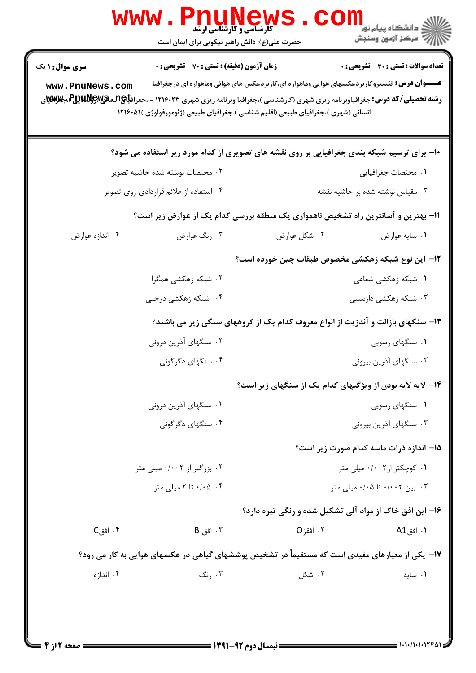| تعداد سوالات : تستى : 30 - تشريحي : 0                     |              | <b>زمان آزمون (دقیقه) : تستی : 70 قشریحی : 0</b>                                                                                                                                           | <b>سری سوال : ۱ یک</b>                                                                                                                                                                                                                                                      |  |
|-----------------------------------------------------------|--------------|--------------------------------------------------------------------------------------------------------------------------------------------------------------------------------------------|-----------------------------------------------------------------------------------------------------------------------------------------------------------------------------------------------------------------------------------------------------------------------------|--|
|                                                           |              | <b>عنـــوان درس:</b> تفسیروکاربردعکسهای هوایی وماهواره ای،کاربردعکس های هوائی وماهواره ای درجغرافیا<br>انسانی (شهری )،جغرافیای طبیعی (اقلیم شناسی )،جغرافیای طبیعی (ژئومورفولوژی )۱۲۱۶۰۵۱۱ | www.PnuNews.com<br><b>رشته تحصیلی/کد درس:</b> جغرافیاوبرنامه ریزی شهری (کارشناسی )،جغرافیا وبرنامه ریزی شهری ۱۲۱۶۰۲۳ - ،جغراف <b>یاچAیمیتچAپیچ</b> A ج <b>غزایتچ</b><br><b>دشته تحصیلی/کد درس:</b> جغرافیاوبرنامه ریزی شهری (کارشناسی )،جغرافیا وبرنامه ریزی شهری ۱۲۱۶۰۲۳ - |  |
|                                                           |              | <b>۱۰</b> برای ترسیم شبکه بندی جغرافیایی بر روی نقشه های تصویری از کدام مورد زیر استفاده می شود؟                                                                                           |                                                                                                                                                                                                                                                                             |  |
| ٠١ مختصات جغرافيايي                                       |              | ۰۲ مختصات نوشته شده حاشيه تصوير                                                                                                                                                            |                                                                                                                                                                                                                                                                             |  |
| ۰۳ مقیاس نوشته شده بر حاشیه نقشه                          |              | ۰۴ استفاده از علائم قراردادی روی تصویر                                                                                                                                                     |                                                                                                                                                                                                                                                                             |  |
|                                                           |              | 1۱- بهترین و آسانترین راه تشخیص ناهمواری یک منطقه بررسی کدام یک از عوارض زیر است؟                                                                                                          |                                                                                                                                                                                                                                                                             |  |
| ٠١ سايه عوارض                                             | ۰۲ شکل عوارض | ۰۳ رنگ عوارض                                                                                                                                                                               | ۰۴ اندازه عوارض                                                                                                                                                                                                                                                             |  |
| ۱۲– این نوع شبکه زهکشی مخصوص طبقات چین خورده است؟         |              |                                                                                                                                                                                            |                                                                                                                                                                                                                                                                             |  |
| ۰۱ شبکه زهکشی شعاعی                                       |              | ۰۲ شبکه زهکشی همگرا                                                                                                                                                                        |                                                                                                                                                                                                                                                                             |  |
| ۰۳ شبکه زهکشی داربستی                                     |              | ۰۴ شبکه زهکشی درختی                                                                                                                                                                        |                                                                                                                                                                                                                                                                             |  |
|                                                           |              | ۱۳- سنگهای بازالت و آندزیت از انواع معروف کدام یک از گروههای سنگی زیر می باشند؟                                                                                                            |                                                                                                                                                                                                                                                                             |  |
| ۰۱ سنگهای رسوبی                                           |              | ۰۲ سنگهای آذرین درونی                                                                                                                                                                      |                                                                                                                                                                                                                                                                             |  |
| ۰۳ سنگهای آذرین بیرونی                                    |              | ۰۴ سنگهای دگرگونی                                                                                                                                                                          |                                                                                                                                                                                                                                                                             |  |
| ۱۴- لایه لایه بودن از ویژگیهای کدام یک از سنگهای زیر است؟ |              |                                                                                                                                                                                            |                                                                                                                                                                                                                                                                             |  |
| ۰۱ سنگهای رسوبی                                           |              | ۰۲ سنگهای آذرین درونی                                                                                                                                                                      |                                                                                                                                                                                                                                                                             |  |
| ۰۳ سنگهای آذرین بیرونی                                    |              | ۰۴ سنگهای دگر گونی                                                                                                                                                                         |                                                                                                                                                                                                                                                                             |  |
| 15- اندازه ذرات ماسه کدام صورت زیر است؟                   |              |                                                                                                                                                                                            |                                                                                                                                                                                                                                                                             |  |
| ۰۱ کوچکتر از۰۰۰۲۰ میلی متر                                |              | ۰۲ بزرگتر از ۰/۰۰۲ میلی متر                                                                                                                                                                |                                                                                                                                                                                                                                                                             |  |
| ۰/۰۰۲ بین ۰/۰۰۲ تا ۰/۰۵ میلی متر                          |              |                                                                                                                                                                                            | ۰/۰۵ ۰۴ تا ۲ میلی متر                                                                                                                                                                                                                                                       |  |
| ۱۶- این افق خاک از مواد آلی تشکیل شده و رنگی تیره دارد؟   |              |                                                                                                                                                                                            |                                                                                                                                                                                                                                                                             |  |
| ۰۱ افق A1                                                 | ۰۲ افقز O    | $B_{\alpha}$ 1. افق، $\mathcal{F}$                                                                                                                                                         | $C_i$ افق $\cdot$ ۴                                                                                                                                                                                                                                                         |  |
|                                                           |              | ۱۷– یکی از معیارهای مفیدی است که مستقیماً در تشخیص پوششهای گیاهی در عکسهای هوایی به کار می رود؟                                                                                            |                                                                                                                                                                                                                                                                             |  |
| ٠١. سايه                                                  | ۰۲ شکل       | ۰۳ نگ<br>۰۴ اندا; ه                                                                                                                                                                        |                                                                                                                                                                                                                                                                             |  |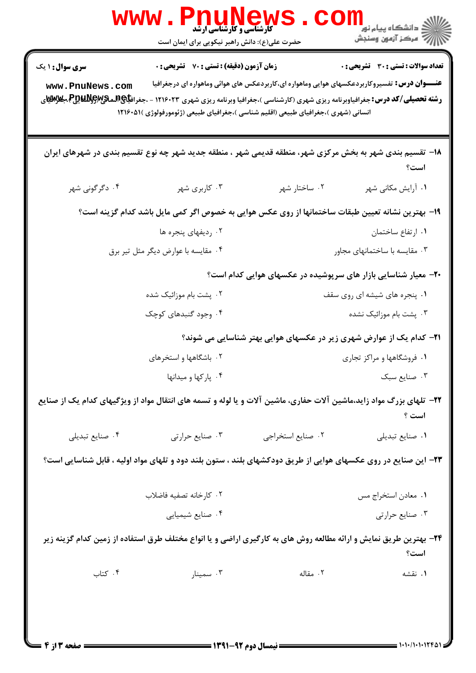| <b>تعداد سوالات : تستی : 30 ٪ تشریحی : 0</b> |                                                                             | <b>زمان آزمون (دقیقه) : تستی : 70 قشریحی : 0</b>                                                                                                                                                                                                                                                                                                        | <b>سری سوال :</b> ۱ یک |
|----------------------------------------------|-----------------------------------------------------------------------------|---------------------------------------------------------------------------------------------------------------------------------------------------------------------------------------------------------------------------------------------------------------------------------------------------------------------------------------------------------|------------------------|
|                                              |                                                                             | <b>عنـــوان درس:</b> تفسیروکاربردعکسهای هوایی وماهواره ای،کاربردعکس های هوائی وماهواره ای درجغرافیا<br><b>رشته تحصیلی/کد درس:</b> جغرافیاوبرنامه ریزی شهری (کارشناسی )،جغرافیا وبرنامه ریزی شهری ۱۲۱۶۰۲۳ - ،جغراف <b>یاچالیماتیپالچاله پولاییچا مجلازالیا ی</b><br>انسانی (شهری )،جغرافیای طبیعی (اقلیم شناسی )،جغرافیای طبیعی (ژئومورفولوژی )۱۲۱۶۰۵۱ ( | www.PnuNews.com        |
| است؟                                         |                                                                             | ۱۸− تقسیم بندی شهر به بخش مرکزی شهر، منطقه قدیمی شهر ، منطقه جدید شهر چه نوع تقسیم بندی در شهرهای ایران                                                                                                                                                                                                                                                 |                        |
| ۰۱ آرایش مکانی شهر                           | ۰۲ ساختار شهر                                                               | ۰۳ کاربری شهر                                                                                                                                                                                                                                                                                                                                           | ۰۴ دگرگونی شهر         |
|                                              |                                                                             | ۱۹- بهترین نشانه تعیین طبقات ساختمانها از روی عکس هوایی به خصوص اگر کمی مایل باشد کدام گزینه است؟                                                                                                                                                                                                                                                       |                        |
| ٠١ ارتفاع ساختمان                            |                                                                             | ۰۲ ردیفهای پنجره ها                                                                                                                                                                                                                                                                                                                                     |                        |
| ۰۳ مقایسه با ساختمانهای مجاور                |                                                                             | ۰۴ مقایسه با عوارض دیگر مثل تیر برق                                                                                                                                                                                                                                                                                                                     |                        |
|                                              | ۲۰- معیار شناسایی بازار های سرپوشیده در عکسهای هوایی کدام است؟              |                                                                                                                                                                                                                                                                                                                                                         |                        |
| ۰۱ پنجره های شیشه ای روی سقف                 |                                                                             | ۰۲ پشت بام موزائیک شده                                                                                                                                                                                                                                                                                                                                  |                        |
| ۰۳ پشت بام موزائیک نشده                      |                                                                             | ۰۴ وجود گنبدهای کوچک                                                                                                                                                                                                                                                                                                                                    |                        |
|                                              | <b>۲۱</b> – کدام یک از عوارض شهری زیر در عکسهای هوایی بهتر شناسایی می شوند؟ |                                                                                                                                                                                                                                                                                                                                                         |                        |
| ۰۱ فروشگاهها و مراکز تجاری                   |                                                                             | ۰۲ باشگاهها و استخرهای                                                                                                                                                                                                                                                                                                                                  |                        |
| ۰۳ صنایع سبک                                 |                                                                             | ۰۴ یارکها و میدانها                                                                                                                                                                                                                                                                                                                                     |                        |
| است ؟                                        |                                                                             | ۲۲– تلهای بزرگ مواد زاید،ماشین آلات حفاری، ماشین آلات و یا لوله و تسمه های انتقال مواد از ویژگیهای کدام یک از صنایع                                                                                                                                                                                                                                     |                        |
| ٠١ صنايع تبديلي                              | ٠٢ صنايع استخراجي                                                           | ۰۳ صنایع حرارتی                                                                                                                                                                                                                                                                                                                                         | ۰۴ صنایع تبدیلی        |
|                                              |                                                                             | ۲۳– این صنایع در روی عکسهای هوایی از طریق دودکشهای بلند ، ستون بلند دود و تلهای مواد اولیه ، قابل شناسایی است؟                                                                                                                                                                                                                                          |                        |
| ٠١ معادن استخراج مس                          |                                                                             | ٠٢ كارخانه تصفيه فاضلاب                                                                                                                                                                                                                                                                                                                                 |                        |
| ۰۳ صنایع حرارتی                              |                                                                             | ۰۴ صنایع شیمیایی                                                                                                                                                                                                                                                                                                                                        |                        |
| است؟                                         |                                                                             | ۲۴- بهترین طریق نمایش و ارائه مطالعه روش های به کارگیری اراضی و یا انواع مختلف طرق استفاده از زمین کدام گزینه زیر                                                                                                                                                                                                                                       |                        |
| ۰۱ نقشه                                      | ۰۲ مقاله                                                                    | ۰۳ سمينار                                                                                                                                                                                                                                                                                                                                               | ۰۴ کتاب                |